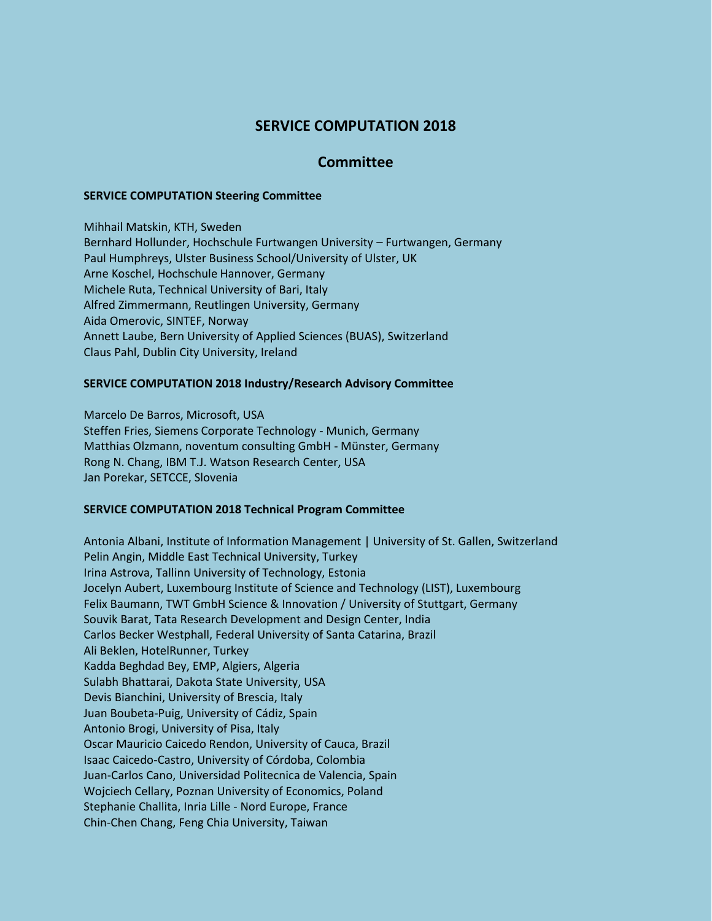# **SERVICE COMPUTATION 2018**

## **Committee**

### **SERVICE COMPUTATION Steering Committee**

Mihhail Matskin, KTH, Sweden Bernhard Hollunder, Hochschule Furtwangen University – Furtwangen, Germany Paul Humphreys, Ulster Business School/University of Ulster, UK Arne Koschel, Hochschule Hannover, Germany Michele Ruta, Technical University of Bari, Italy Alfred Zimmermann, Reutlingen University, Germany Aida Omerovic, SINTEF, Norway Annett Laube, Bern University of Applied Sciences (BUAS), Switzerland Claus Pahl, Dublin City University, Ireland

### **SERVICE COMPUTATION 2018 Industry/Research Advisory Committee**

Marcelo De Barros, Microsoft, USA Steffen Fries, Siemens Corporate Technology - Munich, Germany Matthias Olzmann, noventum consulting GmbH - Münster, Germany Rong N. Chang, IBM T.J. Watson Research Center, USA Jan Porekar, SETCCE, Slovenia

#### **SERVICE COMPUTATION 2018 Technical Program Committee**

Antonia Albani, Institute of Information Management | University of St. Gallen, Switzerland Pelin Angin, Middle East Technical University, Turkey Irina Astrova, Tallinn University of Technology, Estonia Jocelyn Aubert, Luxembourg Institute of Science and Technology (LIST), Luxembourg Felix Baumann, TWT GmbH Science & Innovation / University of Stuttgart, Germany Souvik Barat, Tata Research Development and Design Center, India Carlos Becker Westphall, Federal University of Santa Catarina, Brazil Ali Beklen, HotelRunner, Turkey Kadda Beghdad Bey, EMP, Algiers, Algeria Sulabh Bhattarai, Dakota State University, USA Devis Bianchini, University of Brescia, Italy Juan Boubeta-Puig, University of Cádiz, Spain Antonio Brogi, University of Pisa, Italy Oscar Mauricio Caicedo Rendon, University of Cauca, Brazil Isaac Caicedo-Castro, University of Córdoba, Colombia Juan-Carlos Cano, Universidad Politecnica de Valencia, Spain Wojciech Cellary, Poznan University of Economics, Poland Stephanie Challita, Inria Lille - Nord Europe, France Chin-Chen Chang, Feng Chia University, Taiwan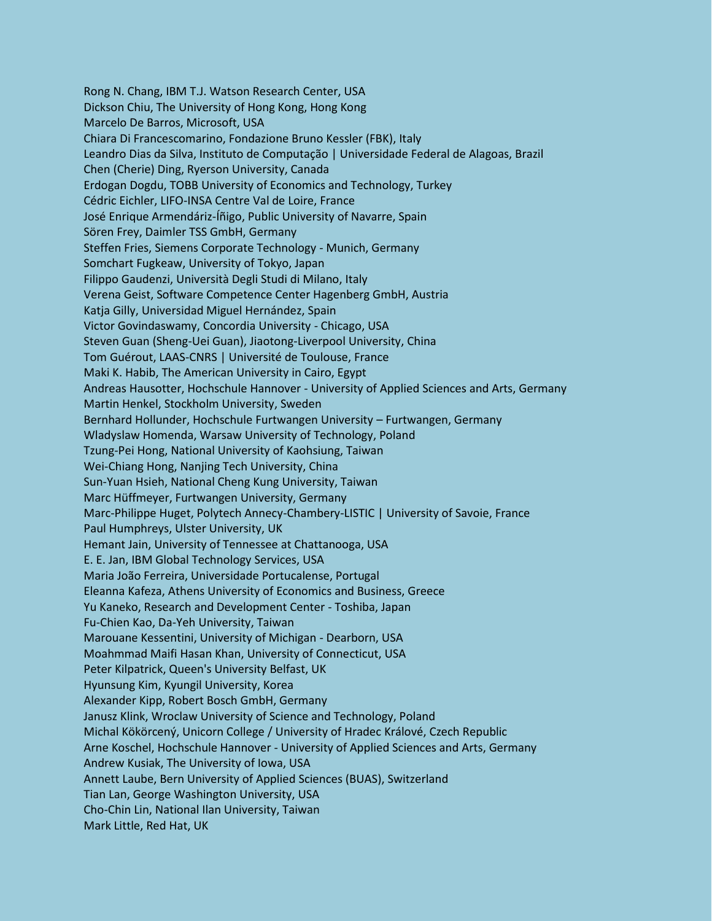Rong N. Chang, IBM T.J. Watson Research Center, USA Dickson Chiu, The University of Hong Kong, Hong Kong Marcelo De Barros, Microsoft, USA Chiara Di Francescomarino, Fondazione Bruno Kessler (FBK), Italy Leandro Dias da Silva, Instituto de Computação | Universidade Federal de Alagoas, Brazil Chen (Cherie) Ding, Ryerson University, Canada Erdogan Dogdu, TOBB University of Economics and Technology, Turkey Cédric Eichler, LIFO-INSA Centre Val de Loire, France José Enrique Armendáriz-Íñigo, Public University of Navarre, Spain Sören Frey, Daimler TSS GmbH, Germany Steffen Fries, Siemens Corporate Technology - Munich, Germany Somchart Fugkeaw, University of Tokyo, Japan Filippo Gaudenzi, Università Degli Studi di Milano, Italy Verena Geist, Software Competence Center Hagenberg GmbH, Austria Katja Gilly, Universidad Miguel Hernández, Spain Victor Govindaswamy, Concordia University - Chicago, USA Steven Guan (Sheng-Uei Guan), Jiaotong-Liverpool University, China Tom Guérout, LAAS-CNRS | Université de Toulouse, France Maki K. Habib, The American University in Cairo, Egypt Andreas Hausotter, Hochschule Hannover - University of Applied Sciences and Arts, Germany Martin Henkel, Stockholm University, Sweden Bernhard Hollunder, Hochschule Furtwangen University – Furtwangen, Germany Wladyslaw Homenda, Warsaw University of Technology, Poland Tzung-Pei Hong, National University of Kaohsiung, Taiwan Wei-Chiang Hong, Nanjing Tech University, China Sun-Yuan Hsieh, National Cheng Kung University, Taiwan Marc Hüffmeyer, Furtwangen University, Germany Marc-Philippe Huget, Polytech Annecy-Chambery-LISTIC | University of Savoie, France Paul Humphreys, Ulster University, UK Hemant Jain, University of Tennessee at Chattanooga, USA E. E. Jan, IBM Global Technology Services, USA Maria João Ferreira, Universidade Portucalense, Portugal Eleanna Kafeza, Athens University of Economics and Business, Greece Yu Kaneko, Research and Development Center - Toshiba, Japan Fu-Chien Kao, Da-Yeh University, Taiwan Marouane Kessentini, University of Michigan - Dearborn, USA Moahmmad Maifi Hasan Khan, University of Connecticut, USA Peter Kilpatrick, Queen's University Belfast, UK Hyunsung Kim, Kyungil University, Korea Alexander Kipp, Robert Bosch GmbH, Germany Janusz Klink, Wroclaw University of Science and Technology, Poland Michal Kökörcený, Unicorn College / University of Hradec Králové, Czech Republic Arne Koschel, Hochschule Hannover - University of Applied Sciences and Arts, Germany Andrew Kusiak, The University of Iowa, USA Annett Laube, Bern University of Applied Sciences (BUAS), Switzerland Tian Lan, George Washington University, USA Cho-Chin Lin, National Ilan University, Taiwan Mark Little, Red Hat, UK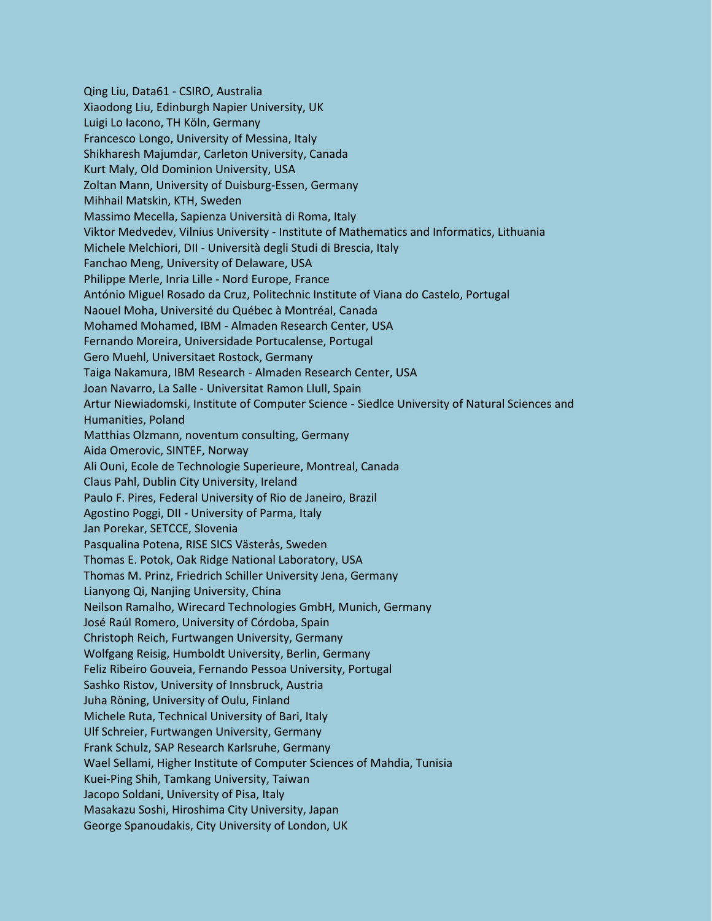Qing Liu, Data61 - CSIRO, Australia Xiaodong Liu, Edinburgh Napier University, UK Luigi Lo Iacono, TH Köln, Germany Francesco Longo, University of Messina, Italy Shikharesh Majumdar, Carleton University, Canada Kurt Maly, Old Dominion University, USA Zoltan Mann, University of Duisburg-Essen, Germany Mihhail Matskin, KTH, Sweden Massimo Mecella, Sapienza Università di Roma, Italy Viktor Medvedev, Vilnius University - Institute of Mathematics and Informatics, Lithuania Michele Melchiori, DII - Università degli Studi di Brescia, Italy Fanchao Meng, University of Delaware, USA Philippe Merle, Inria Lille - Nord Europe, France António Miguel Rosado da Cruz, Politechnic Institute of Viana do Castelo, Portugal Naouel Moha, Université du Québec à Montréal, Canada Mohamed Mohamed, IBM - Almaden Research Center, USA Fernando Moreira, Universidade Portucalense, Portugal Gero Muehl, Universitaet Rostock, Germany Taiga Nakamura, IBM Research - Almaden Research Center, USA Joan Navarro, La Salle - Universitat Ramon Llull, Spain Artur Niewiadomski, Institute of Computer Science - Siedlce University of Natural Sciences and Humanities, Poland Matthias Olzmann, noventum consulting, Germany Aida Omerovic, SINTEF, Norway Ali Ouni, Ecole de Technologie Superieure, Montreal, Canada Claus Pahl, Dublin City University, Ireland Paulo F. Pires, Federal University of Rio de Janeiro, Brazil Agostino Poggi, DII - University of Parma, Italy Jan Porekar, SETCCE, Slovenia Pasqualina Potena, RISE SICS Västerås, Sweden Thomas E. Potok, Oak Ridge National Laboratory, USA Thomas M. Prinz, Friedrich Schiller University Jena, Germany Lianyong Qi, Nanjing University, China Neilson Ramalho, Wirecard Technologies GmbH, Munich, Germany José Raúl Romero, University of Córdoba, Spain Christoph Reich, Furtwangen University, Germany Wolfgang Reisig, Humboldt University, Berlin, Germany Feliz Ribeiro Gouveia, Fernando Pessoa University, Portugal Sashko Ristov, University of Innsbruck, Austria Juha Röning, University of Oulu, Finland Michele Ruta, Technical University of Bari, Italy Ulf Schreier, Furtwangen University, Germany Frank Schulz, SAP Research Karlsruhe, Germany Wael Sellami, Higher Institute of Computer Sciences of Mahdia, Tunisia Kuei-Ping Shih, Tamkang University, Taiwan Jacopo Soldani, University of Pisa, Italy Masakazu Soshi, Hiroshima City University, Japan George Spanoudakis, City University of London, UK